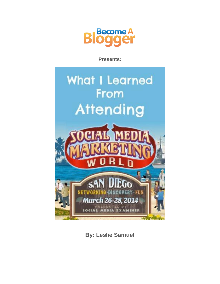

**Presents:**



**By: Leslie Samuel**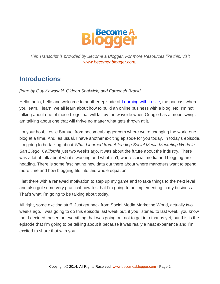

*This Transcript is provided by Become a Blogger. For more Resources like this, visit [www.becomeablogger.com.](http://www.becomeablogger.com/)*

### **Introductions**

*[Intro by Guy Kawasaki, Gideon Shalwick, and Farnoosh Brock]*

Hello, hello, hello and welcome to another episode of [Learning with Leslie,](http://www.becomeablogger.com/podcast-2/) the podcast where you learn, I learn, we all learn about how to build an online business with a blog. No, I'm not talking about one of those blogs that will fall by the wayside when Google has a mood swing. I am talking about one that will thrive no matter what gets thrown at it.

I'm your host, Leslie Samuel from becomeablogger.com where we're changing the world one blog at a time. And, as usual, I have another exciting episode for you today. In today's episode, I'm going to be talking about *What I learned from Attending Social Media Marketing World in San Diego, California* just two weeks ago. It was about the future about the industry. There was a lot of talk about what's working and what isn't, where social media and blogging are heading. There is some fascinating new data out there about where marketers want to spend more time and how blogging fits into this whole equation.

I left there with a renewed motivation to step up my game and to take things to the next level and also got some very practical how-tos that I'm going to be implementing in my business. That's what I'm going to be talking about today.

All right, some exciting stuff. Just got back from Social Media Marketing World, actually two weeks ago. I was going to do this episode last week but, if you listened to last week, you know that I decided, based on everything that was going on, not to get into that as yet, but this is the episode that I'm going to be talking about it because it was really a neat experience and I'm excited to share that with you.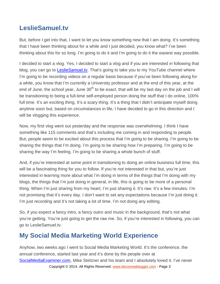# **LeslieSamuel.tv**

But, before I get into that, I want to let you know something new that I am doing. It's something that I have been thinking about for a while and I just decided, you know what? I've been thinking about this for so long. I'm going to do it and I'm going to do it the easiest way possible.

I decided to start a vlog. Yes, I decided to start a vlog and if you are interested in following that blog, you can go to [LeslieSamuel.tv.](https://www.youtube.com/user/LeslieSamuelLive/featured) That's going to take you to my YouTube channel where I'm going to be recording videos on a regular basis because if you've been following along for a while, you know that I'm currently a University professor and at the end of this year, at the end of June, the school year, June  $30<sup>th</sup>$  to be exact, that will be my last day on the job and I will be transitioning to being a full-time self-employed person doing the stuff that I do online, 100% full time. It's an exciting thing. It's a scary thing. It's a thing that I didn't anticipate myself doing anytime soon but, based on circumstances in life, I have decided to go in this direction and I will be vlogging this experience.

Now, my first vlog went out yesterday and the response was overwhelming. I think I have something like 115 comments and that's including me coming in and responding to people. But, people seem to be excited about this process that I'm going to be sharing. I'm going to be sharing the things that I'm doing. I'm going to be sharing how I'm preparing. I'm going to be sharing the way I'm feeling. I'm going to be sharing a whole bunch of stuff.

And, if you're interested at some point in transitioning to doing an online business full time, this will be a fascinating thing for you to follow. If you're not interested in that but, you're just interested in learning more about what I'm doing in terms of the things that I'm doing with my blogs, the things that I'm just doing in general, in life, this is going to be more of a personal thing. When I'm just sharing from my heart, I'm just sharing it. It's raw. It's a few minutes. I'm not promising that it's every day. I don't want to set any expectations because I'm just doing it. I'm just recording and it's not taking a lot of time. I'm not doing any editing.

So, if you expect a fancy intro, a fancy outro and music in the background, that's not what you're getting. You're just going to get the raw me. So, if you're interested in following, you can go to LeslieSamuel.tv.

# **My Social Media Marketing World Experience**

Copyright © 2014. All Rights Reserved. [www.becomeablogger.com](http://www.becomeablogger.com/) - Page 3 Anyhow, two weeks ago I went to Social Media Marketing World. It's the conference, the annual conference, started last year and it's done by the people over at [SocialMediaExaminer.com,](http://www.socialmediaexaminer.com/) Mike Stelzner and his team and I absolutely loved it. I've never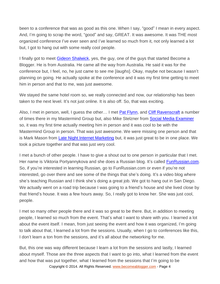been to a conference that was as good as this one. When I say, "good" I mean in every aspect. And, I'm going to scrap the word, "good" and say, GREAT. It was awesome. It was THE most organized conference I've ever seen and I've learned so much from it, not only learned a lot but, I got to hang out with some really cool people.

I finally got to meet Gideon [Shalwick,](http://www.gideonshalwick.com/) yes, the guy, one of the guys that started Become a Blogger. He is from Australia. He came all the way from Australia. He said it was for the conference but, I feel, no, he just came to see me [*laughs*]. Okay, maybe not because I wasn't planning on going. He actually spoke at the conference and it was my first time getting to meet him in person and that to me, was just awesome.

We stayed the same hotel room so, we really connected and now, our relationship has been taken to the next level. It's not just online. It is also off. So, that was exciting.

Also, I met in person, well, I guess the other... I met **Pat Flynn**, and **Cliff Ravenscraft** a number of times there in my Mastermind Group but, also Mike Stelzner from [Social Media Examiner](http://www.socialmediaexaminer.com/) so, it was my first time actually meeting him in person and it was cool to be with the Mastermind Group in person. That was just awesome. We were missing one person and that is Mark Mason from [Late Night Internet Marketing](http://www.latenightim.com/) but, it was just great to be in one place. We took a picture together and that was just very cool.

I met a bunch of other people. I have to give a shout out to one person in particular that I met. Her name is Viktoria Portyannykova and she does a Russian blog. It's called [FunRussian.com.](http://www.funrussian.com/) So, if you're interested in learning Russian, go to FunRussian.com or even if you're not interested, go over there and see some of the things that she's doing. It's a video blog where she's teaching Russian and I think she's doing a great job. We got to hang out in San Diego. We actually went on a road trip because I was going to a friend's house and she lived close by that friend's house. It was a few hours away. So, I really got to know her. She was just cool, people.

I met so many other people there and it was so great to be there. But, in addition to meeting people, I learned so much from the event. That's what I want to share with you. I learned a lot about the event itself. I mean, from just seeing the event and how it was organized, I'm going to talk about that, I learned a lot from the sessions. Usually, when I go to conferences like this, I don't learn a ton from the sessions, and it's all about the networking for me.

Copyright © 2014. All Rights Reserved. [www.becomeablogger.com](http://www.becomeablogger.com/) - Page 4 But, this one was way different because I learn a lot from the sessions and lastly, I learned about myself. Those are the three aspects that I want to go into, what I learned from the event and how that was put together, what I learned from the sessions that I'm going to be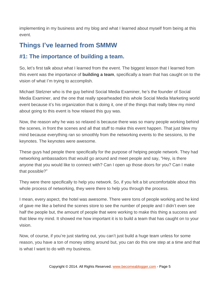implementing in my business and my blog and what I learned about myself from being at this event.

## **Things I've learned from SMMW**

#### **#1: The importance of building a team.**

So, let's first talk about what I learned from the event. The biggest lesson that I learned from this event was the importance of **building a team**, specifically a team that has caught on to the vision of what I'm trying to accomplish.

Michael Stelzner who is the guy behind Social Media Examiner, he's the founder of Social Media Examiner, and the one that really spearheaded this whole Social Media Marketing world event because it's his organization that is doing it, one of the things that really blew my mind about going to this event is how relaxed this guy was.

Now, the reason why he was so relaxed is because there was so many people working behind the scenes, in front the scenes and all that stuff to make this event happen. That just blew my mind because everything ran so smoothly from the networking events to the sessions, to the keynotes. The keynotes were awesome.

These guys had people there specifically for the purpose of helping people network. They had networking ambassadors that would go around and meet people and say, "Hey, is there anyone that you would like to connect with? Can I open up those doors for you? Can I make that possible?"

They were there specifically to help you network. So, if you felt a bit uncomfortable about this whole process of networking, they were there to help you through the process.

I mean, every aspect, the hotel was awesome. There were tons of people working and he kind of gave me like a behind the scenes store to see the number of people and I didn't even see half the people but, the amount of people that were working to make this thing a success and that blew my mind. It showed me how important it is to build a team that has caught on to your vision.

Now, of course, if you're just starting out, you can't just build a huge team unless for some reason, you have a ton of money sitting around but, you can do this one step at a time and that is what I want to do with my business.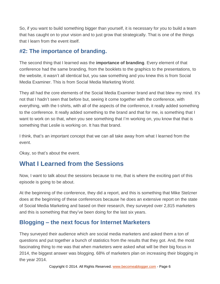So, if you want to build something bigger than yourself, it is necessary for you to build a team that has caught on to your vision and to just grow that strategically. That is one of the things that I learn from the event itself.

#### **#2: The importance of branding.**

The second thing that I learned was the **importance of branding**. Every element of that conference had the same branding, from the booklets to the graphics to the presentations, to the website, it wasn't all identical but, you saw something and you knew this is from Social Media Examiner. This is from Social Media Marketing World.

They all had the core elements of the Social Media Examiner brand and that blew my mind. It's not that I hadn't seen that before but, seeing it come together with the conference, with everything, with the t-shirts, with all of the aspects of the conference, it really added something to the conference. It really added something to the brand and that for me, is something that I want to work on so that, when you see something that I'm working on, you know that that is something that Leslie is working on. It has that brand.

I think, that's an important concept that we can all take away from what I learned from the event.

Okay, so that's about the event.

### **What I Learned from the Sessions**

Now, I want to talk about the sessions because to me, that is where the exciting part of this episode is going to be about.

At the beginning of the conference, they did a report, and this is something that Mike Stelzner does at the beginning of these conferences because he does an extensive report on the state of Social Media Marketing and based on their research, they surveyed over 2,815 marketers and this is something that they've been doing for the last six years.

#### **Blogging – the next focus for Internet Marketers**

They surveyed their audience which are social media marketers and asked them a ton of questions and put together a bunch of statistics from the results that they got. And, the most fascinating thing to me was that when marketers were asked what will be their big focus in 2014, the biggest answer was blogging. 68% of marketers plan on increasing their blogging in the year 2014.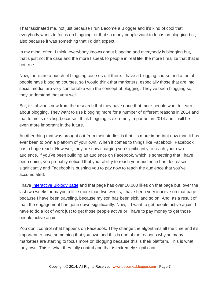That fascinated me, not just because I run Become a Blogger and it's kind of cool that everybody wants to focus on blogging, or that so many people want to focus on blogging but, also because it was something that I didn't expect.

In my mind, often, I think, everybody knows about blogging and everybody is blogging but, that's just not the case and the more I speak to people in real life, the more I realize that that is not true.

Now, there are a bunch of blogging courses out there. I have a blogging course and a ton of people have blogging courses, so I would think that marketers, especially those that are into social media, are very comfortable with the concept of blogging. They've been blogging so, they understand that very well.

But, it's obvious now from the research that they have done that more people want to learn about blogging. They want to use blogging more for a number of different reasons in 2014 and that to me is exciting because I think blogging is extremely important in 2014 and it will be even more important in the future.

Another thing that was brought out from their studies is that it's more important now than it has ever been to own a platform of your own. When it comes to things like Facebook, Facebook has a huge reach. However, they are now charging you significantly to reach your own audience. If you've been building an audience on Facebook, which is something that I have been doing, you probably noticed that your ability to reach your audience has decreased significantly and Facebook is pushing you to pay now to reach the audience that you've accumulated.

I have [Interactive Biology page](https://www.facebook.com/InteractiveBiology) and that page has over 10,000 likes on that page but, over the last two weeks or maybe a little more than two weeks, I have been very inactive on that page because I have been traveling, because my son has been sick, and so on. And, as a result of that, the engagement has gone down significantly. Now, if I want to get people active again, I have to do a lot of work just to get those people active or I have to pay money to get those people active again.

You don't control what happens on Facebook. They change the algorithms all the time and it's important to have something that you own and this is one of the reasons why so many marketers are starting to focus more on blogging because this is their platform. This is what they own. This is what they fully control and that is extremely significant.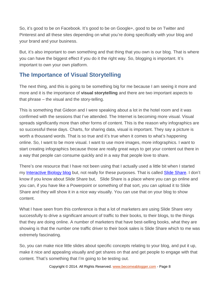So, it's good to be on Facebook. It's good to be on Google+, good to be on Twitter and Pinterest and all these sites depending on what you're doing specifically with your blog and your brand and your business.

But, it's also important to own something and that thing that you own is our blog. That is where you can have the biggest effect if you do it the right way. So, blogging is important. It's important to own your own platform.

#### **The Importance of Visual Storytelling**

The next thing, and this is going to be something big for me because I am seeing it more and more and it is the importance of **visual storytelling** and there are two important aspects to that phrase – the visual and the story-telling.

This is something that Gideon and I were speaking about a lot in the hotel room and it was confirmed with the sessions that I've attended. The Internet is becoming more visual. Visual spreads significantly more than other forms of content. This is the reason why infographics are so successful these days. Charts, for sharing data, visual is important. They say a picture is worth a thousand words. That is so true and it's true when it comes to what's happening online. So, I want to be more visual. I want to use more images, more infographics. I want to start creating infographics because those are really great ways to get your content out there in a way that people can consume quickly and in a way that people love to share.

There's one resource that I have not been using that I actually used a little bit when I started my [Interactive Biology blog](https://www.interactive-biology.com/) but, not really for these purposes. That is called [Slide Share.](http://www.slideshare.net/) I don't know if you know about Slide Share but, Slide Share is a place where you can go online and you can, if you have like a Powerpoint or something of that sort, you can upload it to Slide Share and they will show it in a nice way visually. You can use that on your blog to show content.

What I have seen from this conference is that a lot of marketers are using Slide Share very successfully to drive a significant amount of traffic to their books, to their blogs, to the things that they are doing online. A number of marketers that have best-selling books, what they are showing is that the number one traffic driver to their book sales is Slide Share which to me was extremely fascinating.

So, you can make nice little slides about specific concepts relating to your blog, and put it up, make it nice and appealing visually and get shares on that and get people to engage with that content. That's something that I'm going to be testing out.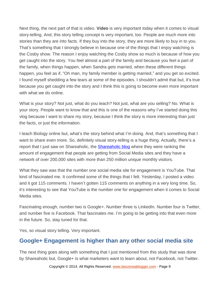Next thing, the next part of that is video. **Video** is very important today when it comes to visual story-telling. And, this story telling concept is very important, too. People are much more into stories than they are into facts. If they buy into the story, they are more likely to buy in to you. That's something that I strongly believe in because one of the things that I enjoy watching is the Cosby show. The reason I enjoy watching the Cosby show so much is because of how you get caught into the story. You feel almost a part of the family and because you feel a part of the family, when things happen, when Sandra gets married, when these different things happen, you feel as if, "Oh man, my family member is getting married," and you get so excited. I found myself shedding a few tears at some of the episodes. I shouldn't admit that but, it's true because you get caught into the story and I think this is going to become even more important with what we do online.

What is your story? Not just, what do you teach? Not just, what are you selling? No. What is your story. People want to know that and this is one of the reasons why I've started doing this vlog because I want to share my story, because I think the story is more interesting than just the facts, or just the information.

I teach Biology online but, what's the story behind what I'm doing. And, that's something that I want to share even more. So, definitely visual story-telling is a huge thing. Actually, there's a report that I just saw on Shareaholic, the **Shareaholic blog** where they were ranking the amount of engagement that people are getting from Social Media sites and they have a network of over 200,000 sites with more than 250 million unique monthly visitors.

What they saw was that the number one social media site for engagement is YouTube. That kind of fascinated me. It confirmed some of the things that I felt. Yesterday, I posted a video and it got 115 comments. I haven't gotten 115 comments on anything in a very long time. So, it's interesting to see that YouTube is the number one for engagement when it comes to Social Media sites.

Fascinating enough, number two is Google+. Number three is LinkedIn. Number four is Twitter, and number five is Facebook. That fascinates me. I'm going to be getting into that even more in the future. So, stay tuned for that.

Yes, so visual story telling. Very important.

#### **Google+ Engagement is higher than any other social media site**

The next thing goes along with something that I just mentioned from this study that was done by Shareaholic but, Google+ is what marketers want to learn about, not Facebook, not Twitter.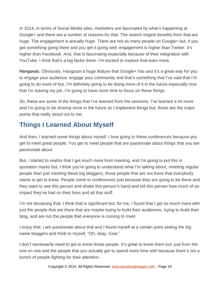In 2014, in terms of Social Media sites, marketers are fascinated by what's happening at Google+ and there are a number of reasons for that. The search engine benefits from that are huge. The engagement is actually huge. There are not as many people on Google+ but, if you get something going there and you get it going well, engagement is higher than Twitter. It's higher than Facebook. And, that is fascinating especially because of their integration with YouTube. I think that's a big factor there. I'm excited to explore that even more.

**Hangouts**. Obviously, Hangouts a huge feature that Google+ has and it's a great way for you to engage your audience, engage your community and that's something that I've said that I'm going to do more of but, I'm definitely going to be doing more of it in the future especially now that I'm leaving my job. I'm going to have more time to focus on these things.

So, these are some of the things that I've learned from the sessions. I've learned a lot more and I'm going to be sharing more in the future as I implement things but, those are the major points that really stood out to me.

# **Things I Learned About Myself**

And then, I learned some things about myself. I love going to these conferences because you get to meet great people. You get to meet people that are passionate about things that you are passionate about.

But, I started to realize that I get much more from meeting, and I'm going to put this in quotation marks but, I think you're going to understand what I'm talking about, meeting regular people than just meeting these big bloggers, those people that are out there that everybody wants to get to know. People come to conferences just because they are going to be there and they want to see this person and shake this person's hand and tell this person how much of an impact they've had on their lives and all that stuff.

I'm not devaluing that. I think that is significant but, for me, I found that I get so much more with just the people that are there that are maybe trying to build their audiences, trying to build their blog, and are not the people that everyone is coming to meet.

I enjoy that. I am passionate about that and I found myself at a certain point seeing the big name bloggers and think to myself, "Oh, okay. Cool."

I don't necessarily need to get to know those people. It's great to know them but, just from the one on one and the people that you actually get to spend more time with because there's not a bunch of people fighting for their attention.